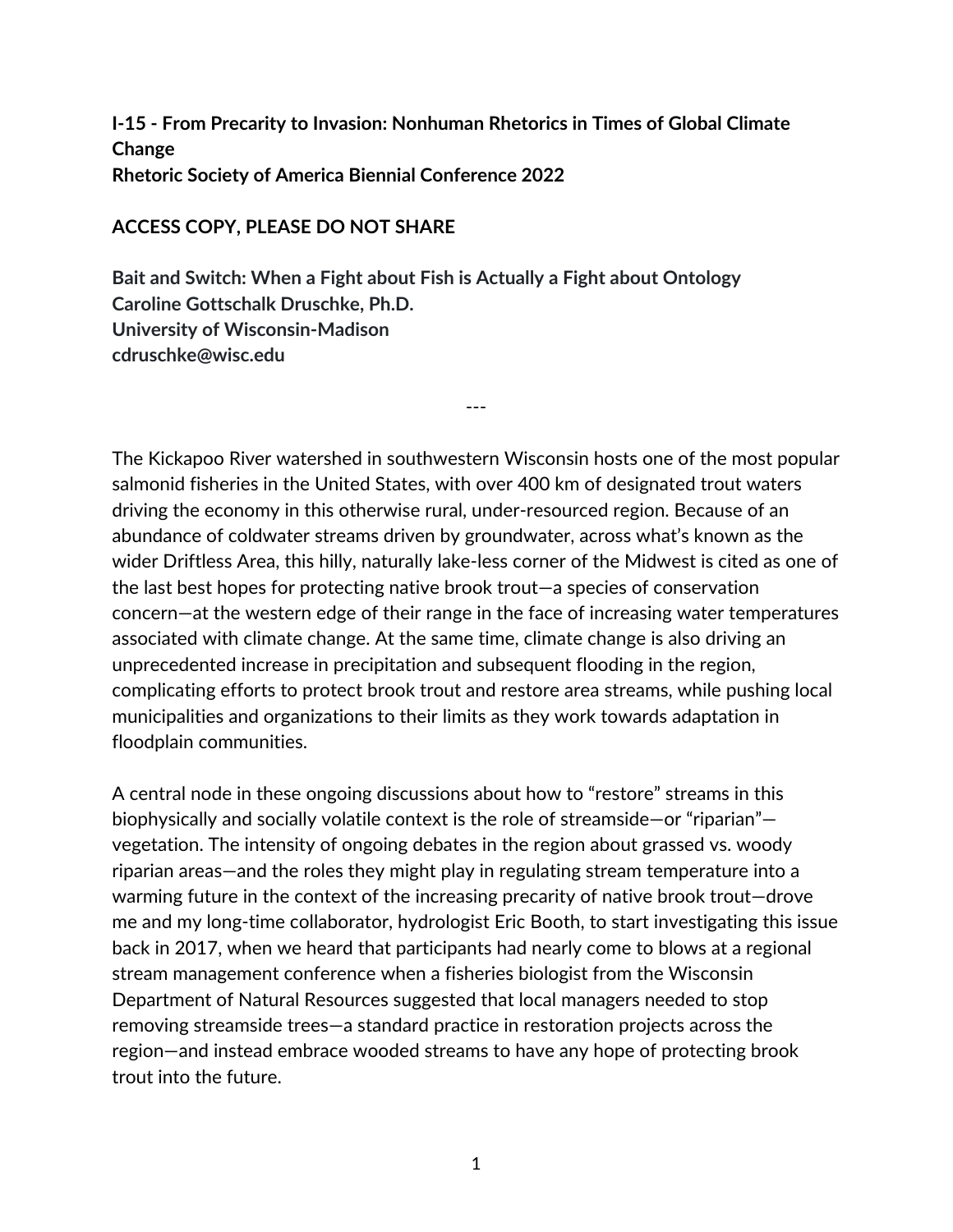## **I-15 - From Precarity to Invasion: Nonhuman Rhetorics in Times of Global Climate Change Rhetoric Society of America Biennial Conference 2022**

## **ACCESS COPY, PLEASE DO NOT SHARE**

**Bait and Switch: When a Fight about Fish is Actually a Fight about Ontology Caroline Gottschalk Druschke, Ph.D. University of Wisconsin-Madison cdruschke@wisc.edu**

The Kickapoo River watershed in southwestern Wisconsin hosts one of the most popular salmonid fisheries in the United States, with over 400 km of designated trout waters driving the economy in this otherwise rural, under-resourced region. Because of an abundance of coldwater streams driven by groundwater, across what's known as the wider Driftless Area, this hilly, naturally lake-less corner of the Midwest is cited as one of the last best hopes for protecting native brook trout—a species of conservation concern—at the western edge of their range in the face of increasing water temperatures associated with climate change. At the same time, climate change is also driving an unprecedented increase in precipitation and subsequent flooding in the region, complicating efforts to protect brook trout and restore area streams, while pushing local municipalities and organizations to their limits as they work towards adaptation in floodplain communities.

---

A central node in these ongoing discussions about how to "restore" streams in this biophysically and socially volatile context is the role of streamside—or "riparian" vegetation. The intensity of ongoing debates in the region about grassed vs. woody riparian areas—and the roles they might play in regulating stream temperature into a warming future in the context of the increasing precarity of native brook trout—drove me and my long-time collaborator, hydrologist Eric Booth, to start investigating this issue back in 2017, when we heard that participants had nearly come to blows at a regional stream management conference when a fisheries biologist from the Wisconsin Department of Natural Resources suggested that local managers needed to stop removing streamside trees—a standard practice in restoration projects across the region—and instead embrace wooded streams to have any hope of protecting brook trout into the future.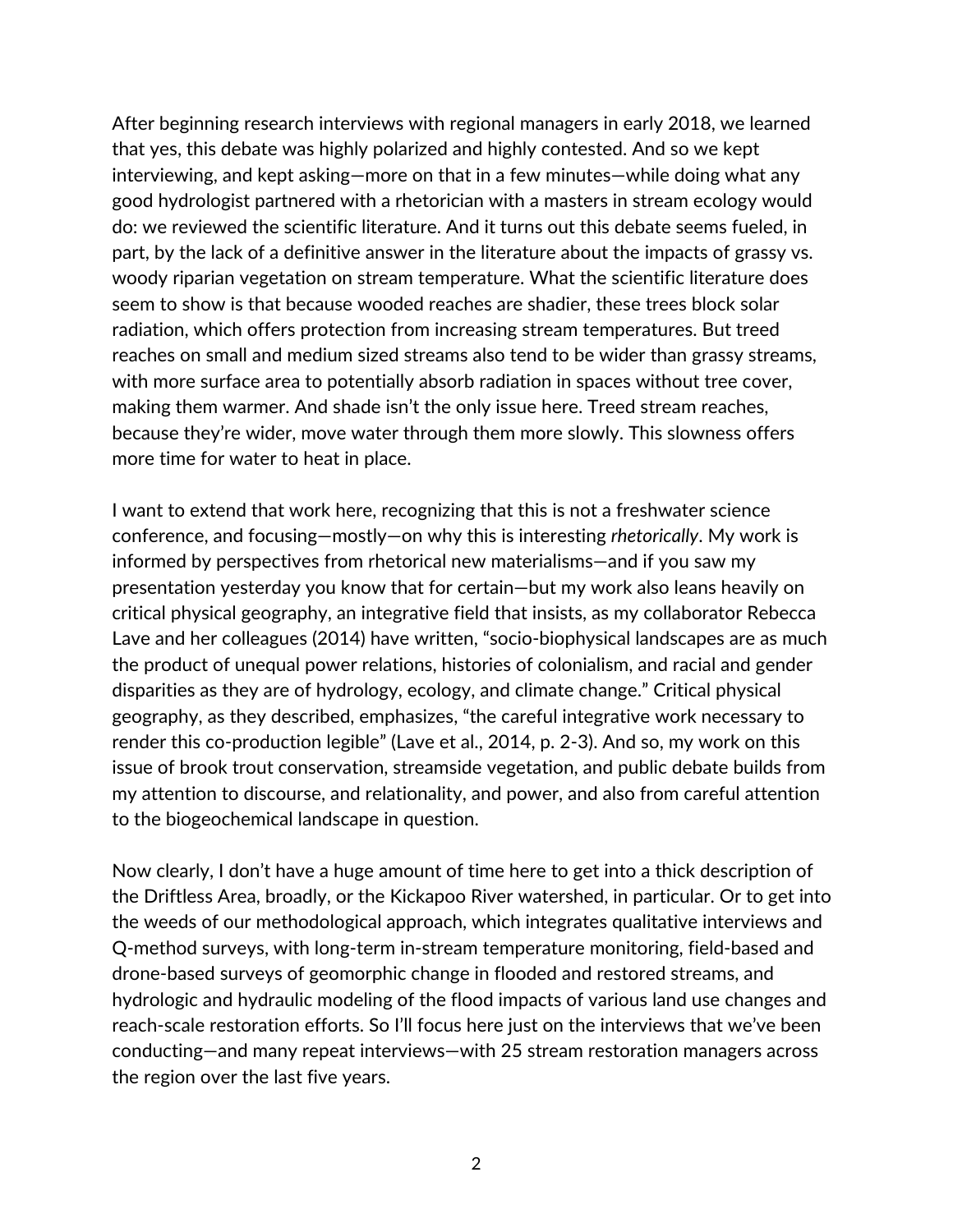After beginning research interviews with regional managers in early 2018, we learned that yes, this debate was highly polarized and highly contested. And so we kept interviewing, and kept asking—more on that in a few minutes—while doing what any good hydrologist partnered with a rhetorician with a masters in stream ecology would do: we reviewed the scientific literature. And it turns out this debate seems fueled, in part, by the lack of a definitive answer in the literature about the impacts of grassy vs. woody riparian vegetation on stream temperature. What the scientific literature does seem to show is that because wooded reaches are shadier, these trees block solar radiation, which offers protection from increasing stream temperatures. But treed reaches on small and medium sized streams also tend to be wider than grassy streams, with more surface area to potentially absorb radiation in spaces without tree cover, making them warmer. And shade isn't the only issue here. Treed stream reaches, because they're wider, move water through them more slowly. This slowness offers more time for water to heat in place.

I want to extend that work here, recognizing that this is not a freshwater science conference, and focusing—mostly—on why this is interesting *rhetorically*. My work is informed by perspectives from rhetorical new materialisms—and if you saw my presentation yesterday you know that for certain—but my work also leans heavily on critical physical geography, an integrative field that insists, as my collaborator Rebecca Lave and her colleagues (2014) have written, "socio-biophysical landscapes are as much the product of unequal power relations, histories of colonialism, and racial and gender disparities as they are of hydrology, ecology, and climate change." Critical physical geography, as they described, emphasizes, "the careful integrative work necessary to render this co-production legible" (Lave et al., 2014, p. 2-3). And so, my work on this issue of brook trout conservation, streamside vegetation, and public debate builds from my attention to discourse, and relationality, and power, and also from careful attention to the biogeochemical landscape in question.

Now clearly, I don't have a huge amount of time here to get into a thick description of the Driftless Area, broadly, or the Kickapoo River watershed, in particular. Or to get into the weeds of our methodological approach, which integrates qualitative interviews and Q-method surveys, with long-term in-stream temperature monitoring, field-based and drone-based surveys of geomorphic change in flooded and restored streams, and hydrologic and hydraulic modeling of the flood impacts of various land use changes and reach-scale restoration efforts. So I'll focus here just on the interviews that we've been conducting—and many repeat interviews—with 25 stream restoration managers across the region over the last five years.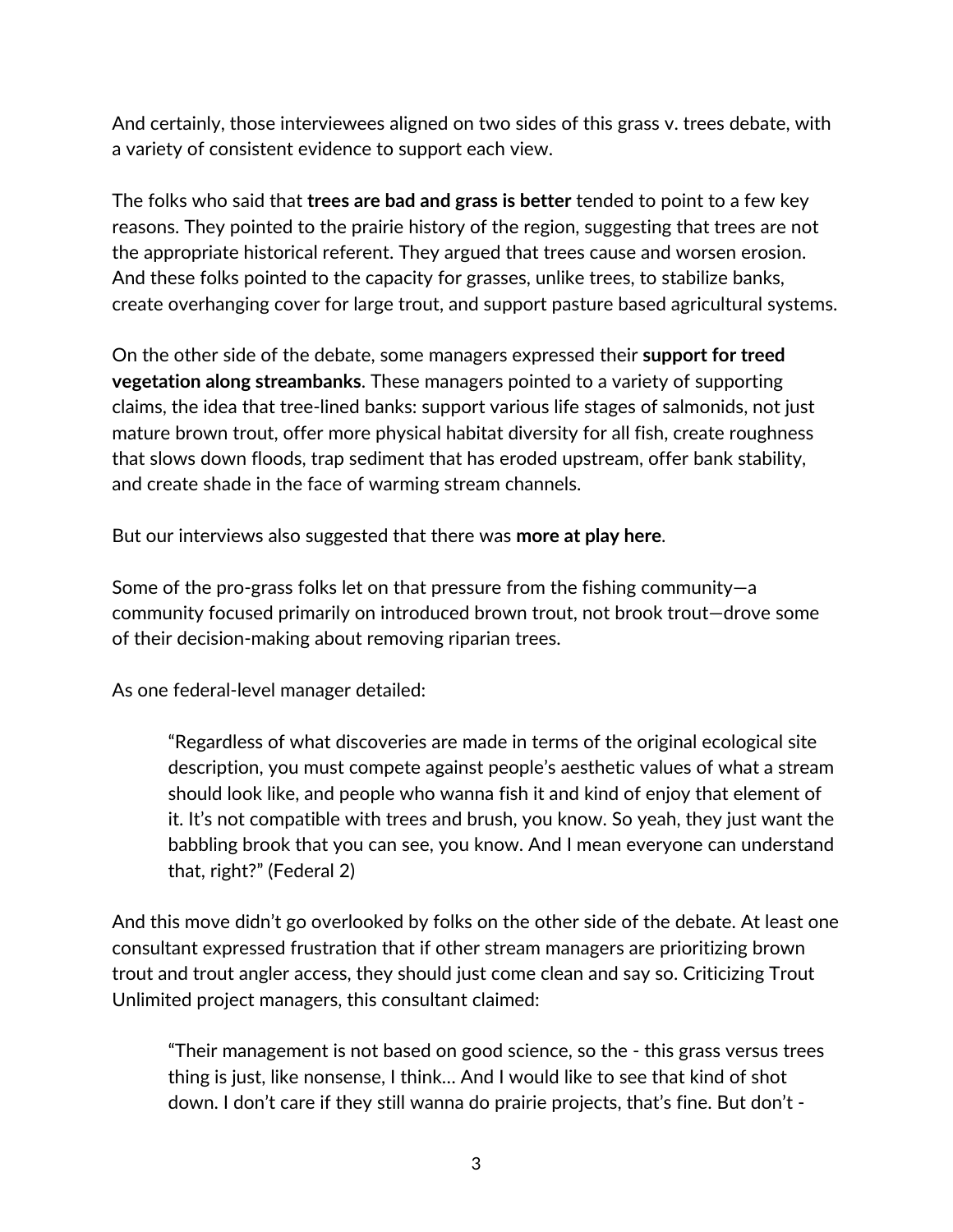And certainly, those interviewees aligned on two sides of this grass v. trees debate, with a variety of consistent evidence to support each view.

The folks who said that **trees are bad and grass is better** tended to point to a few key reasons. They pointed to the prairie history of the region, suggesting that trees are not the appropriate historical referent. They argued that trees cause and worsen erosion. And these folks pointed to the capacity for grasses, unlike trees, to stabilize banks, create overhanging cover for large trout, and support pasture based agricultural systems.

On the other side of the debate, some managers expressed their **support for treed vegetation along streambanks**. These managers pointed to a variety of supporting claims, the idea that tree-lined banks: support various life stages of salmonids, not just mature brown trout, offer more physical habitat diversity for all fish, create roughness that slows down floods, trap sediment that has eroded upstream, offer bank stability, and create shade in the face of warming stream channels.

But our interviews also suggested that there was **more at play here**.

Some of the pro-grass folks let on that pressure from the fishing community—a community focused primarily on introduced brown trout, not brook trout—drove some of their decision-making about removing riparian trees.

As one federal-level manager detailed:

"Regardless of what discoveries are made in terms of the original ecological site description, you must compete against people's aesthetic values of what a stream should look like, and people who wanna fish it and kind of enjoy that element of it. It's not compatible with trees and brush, you know. So yeah, they just want the babbling brook that you can see, you know. And I mean everyone can understand that, right?" (Federal 2)

And this move didn't go overlooked by folks on the other side of the debate. At least one consultant expressed frustration that if other stream managers are prioritizing brown trout and trout angler access, they should just come clean and say so. Criticizing Trout Unlimited project managers, this consultant claimed:

"Their management is not based on good science, so the - this grass versus trees thing is just, like nonsense, I think… And I would like to see that kind of shot down. I don't care if they still wanna do prairie projects, that's fine. But don't -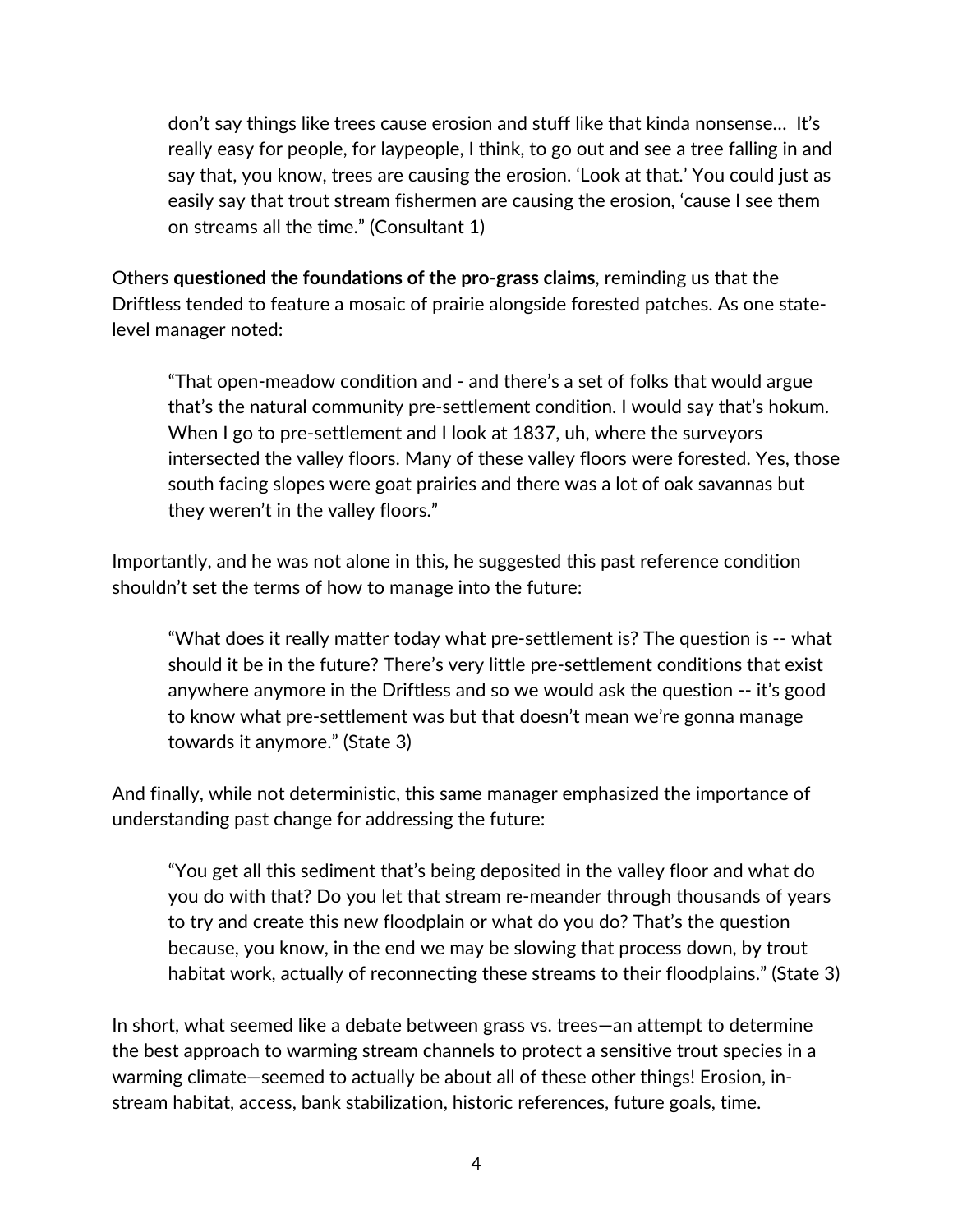don't say things like trees cause erosion and stuff like that kinda nonsense… It's really easy for people, for laypeople, I think, to go out and see a tree falling in and say that, you know, trees are causing the erosion. 'Look at that.' You could just as easily say that trout stream fishermen are causing the erosion, 'cause I see them on streams all the time." (Consultant 1)

Others **questioned the foundations of the pro-grass claims**, reminding us that the Driftless tended to feature a mosaic of prairie alongside forested patches. As one statelevel manager noted:

"That open-meadow condition and - and there's a set of folks that would argue that's the natural community pre-settlement condition. I would say that's hokum. When I go to pre-settlement and I look at 1837, uh, where the surveyors intersected the valley floors. Many of these valley floors were forested. Yes, those south facing slopes were goat prairies and there was a lot of oak savannas but they weren't in the valley floors."

Importantly, and he was not alone in this, he suggested this past reference condition shouldn't set the terms of how to manage into the future:

"What does it really matter today what pre-settlement is? The question is -- what should it be in the future? There's very little pre-settlement conditions that exist anywhere anymore in the Driftless and so we would ask the question -- it's good to know what pre-settlement was but that doesn't mean we're gonna manage towards it anymore." (State 3)

And finally, while not deterministic, this same manager emphasized the importance of understanding past change for addressing the future:

"You get all this sediment that's being deposited in the valley floor and what do you do with that? Do you let that stream re-meander through thousands of years to try and create this new floodplain or what do you do? That's the question because, you know, in the end we may be slowing that process down, by trout habitat work, actually of reconnecting these streams to their floodplains." (State 3)

In short, what seemed like a debate between grass vs. trees—an attempt to determine the best approach to warming stream channels to protect a sensitive trout species in a warming climate—seemed to actually be about all of these other things! Erosion, instream habitat, access, bank stabilization, historic references, future goals, time.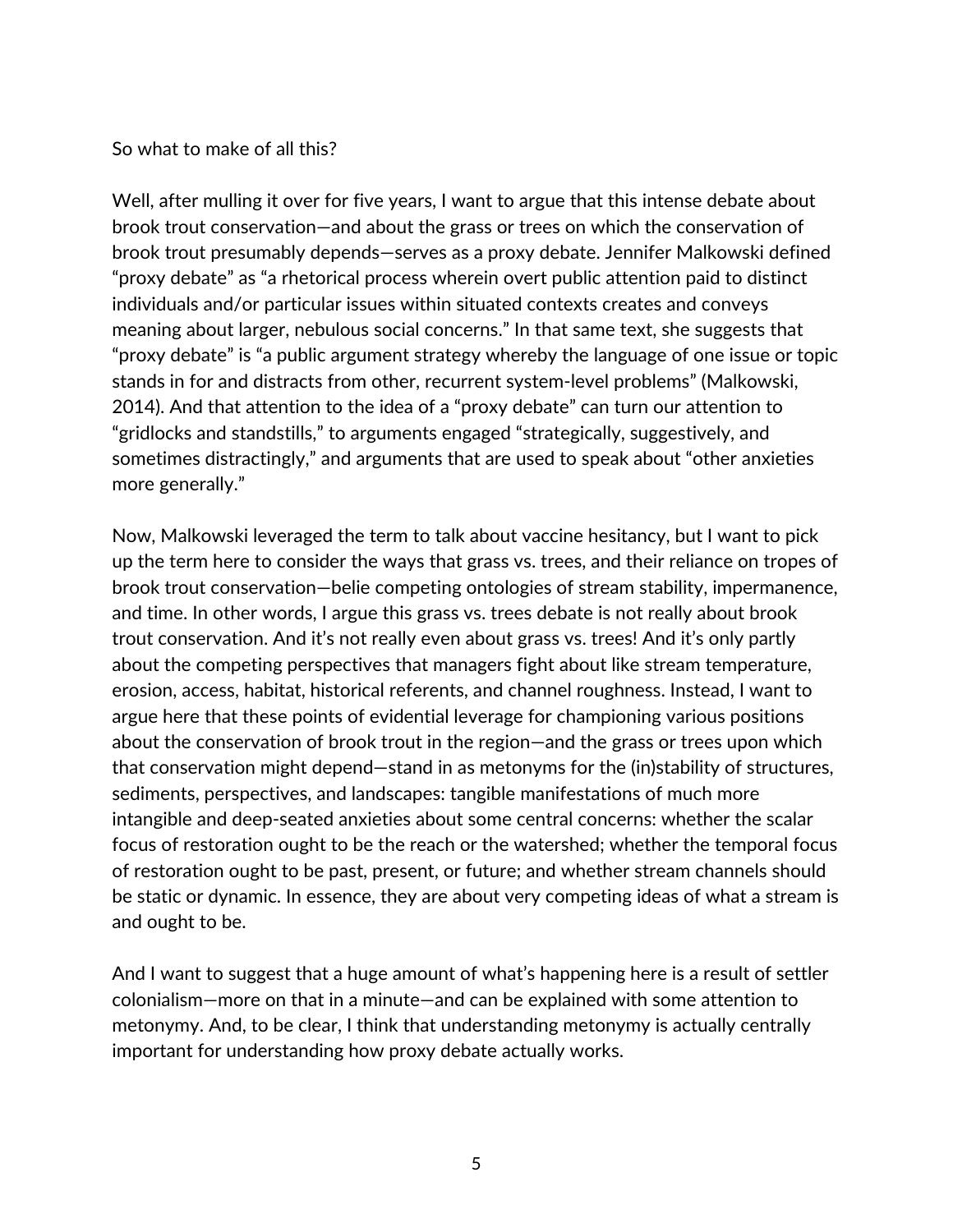## So what to make of all this?

Well, after mulling it over for five years, I want to argue that this intense debate about brook trout conservation—and about the grass or trees on which the conservation of brook trout presumably depends—serves as a proxy debate. Jennifer Malkowski defined "proxy debate" as "a rhetorical process wherein overt public attention paid to distinct individuals and/or particular issues within situated contexts creates and conveys meaning about larger, nebulous social concerns." In that same text, she suggests that "proxy debate" is "a public argument strategy whereby the language of one issue or topic stands in for and distracts from other, recurrent system-level problems" (Malkowski, 2014). And that attention to the idea of a "proxy debate" can turn our attention to "gridlocks and standstills," to arguments engaged "strategically, suggestively, and sometimes distractingly," and arguments that are used to speak about "other anxieties more generally."

Now, Malkowski leveraged the term to talk about vaccine hesitancy, but I want to pick up the term here to consider the ways that grass vs. trees, and their reliance on tropes of brook trout conservation—belie competing ontologies of stream stability, impermanence, and time. In other words, I argue this grass vs. trees debate is not really about brook trout conservation. And it's not really even about grass vs. trees! And it's only partly about the competing perspectives that managers fight about like stream temperature, erosion, access, habitat, historical referents, and channel roughness. Instead, I want to argue here that these points of evidential leverage for championing various positions about the conservation of brook trout in the region—and the grass or trees upon which that conservation might depend—stand in as metonyms for the (in)stability of structures, sediments, perspectives, and landscapes: tangible manifestations of much more intangible and deep-seated anxieties about some central concerns: whether the scalar focus of restoration ought to be the reach or the watershed; whether the temporal focus of restoration ought to be past, present, or future; and whether stream channels should be static or dynamic. In essence, they are about very competing ideas of what a stream is and ought to be.

And I want to suggest that a huge amount of what's happening here is a result of settler colonialism—more on that in a minute—and can be explained with some attention to metonymy. And, to be clear, I think that understanding metonymy is actually centrally important for understanding how proxy debate actually works.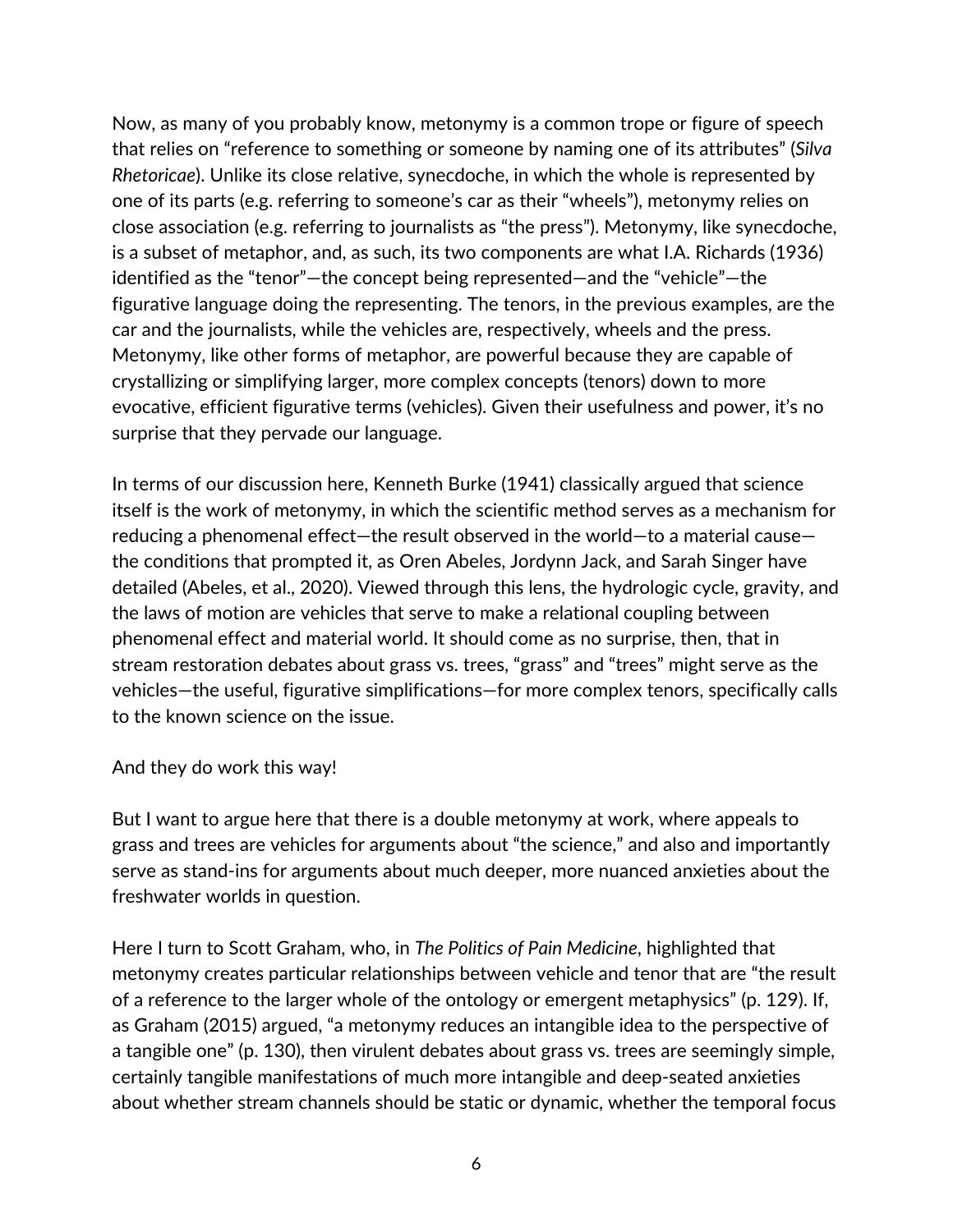Now, as many of you probably know, metonymy is a common trope or figure of speech that relies on "reference to something or someone by naming one of its attributes" (*Silva Rhetoricae*). Unlike its close relative, synecdoche, in which the whole is represented by one of its parts (e.g. referring to someone's car as their "wheels"), metonymy relies on close association (e.g. referring to journalists as "the press"). Metonymy, like synecdoche, is a subset of metaphor, and, as such, its two components are what I.A. Richards (1936) identified as the "tenor"—the concept being represented—and the "vehicle"—the figurative language doing the representing. The tenors, in the previous examples, are the car and the journalists, while the vehicles are, respectively, wheels and the press. Metonymy, like other forms of metaphor, are powerful because they are capable of crystallizing or simplifying larger, more complex concepts (tenors) down to more evocative, efficient figurative terms (vehicles). Given their usefulness and power, it's no surprise that they pervade our language.

In terms of our discussion here, Kenneth Burke (1941) classically argued that science itself is the work of metonymy, in which the scientific method serves as a mechanism for reducing a phenomenal effect—the result observed in the world—to a material cause the conditions that prompted it, as Oren Abeles, Jordynn Jack, and Sarah Singer have detailed (Abeles, et al., 2020). Viewed through this lens, the hydrologic cycle, gravity, and the laws of motion are vehicles that serve to make a relational coupling between phenomenal effect and material world. It should come as no surprise, then, that in stream restoration debates about grass vs. trees, "grass" and "trees" might serve as the vehicles—the useful, figurative simplifications—for more complex tenors, specifically calls to the known science on the issue.

And they do work this way!

But I want to argue here that there is a double metonymy at work, where appeals to grass and trees are vehicles for arguments about "the science," and also and importantly serve as stand-ins for arguments about much deeper, more nuanced anxieties about the freshwater worlds in question.

Here I turn to Scott Graham, who, in *The Politics of Pain Medicine*, highlighted that metonymy creates particular relationships between vehicle and tenor that are "the result of a reference to the larger whole of the ontology or emergent metaphysics" (p. 129). If, as Graham (2015) argued, "a metonymy reduces an intangible idea to the perspective of a tangible one" (p. 130), then virulent debates about grass vs. trees are seemingly simple, certainly tangible manifestations of much more intangible and deep-seated anxieties about whether stream channels should be static or dynamic, whether the temporal focus